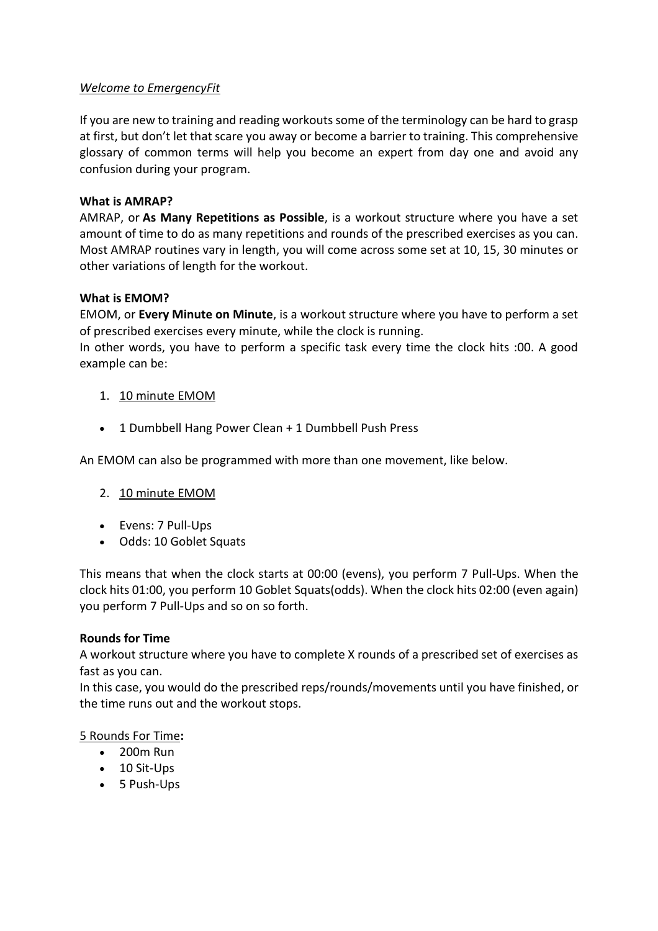# *Welcome to EmergencyFit*

If you are new to training and reading workouts some of the terminology can be hard to grasp at first, but don't let that scare you away or become a barrier to training. This comprehensive glossary of common terms will help you become an expert from day one and avoid any confusion during your program.

## **What is AMRAP?**

AMRAP, or **As Many Repetitions as Possible**, is a workout structure where you have a set amount of time to do as many repetitions and rounds of the prescribed exercises as you can. Most AMRAP routines vary in length, you will come across some set at 10, 15, 30 minutes or other variations of length for the workout.

## **What is EMOM?**

EMOM, or **Every Minute on Minute**, is a workout structure where you have to perform a set of prescribed exercises every minute, while the clock is running.

In other words, you have to perform a specific task every time the clock hits :00. A good example can be:

# 1. 10 minute EMOM

• 1 Dumbbell Hang Power Clean + 1 Dumbbell Push Press

An EMOM can also be programmed with more than one movement, like below.

- 2. 10 minute EMOM
- Evens: 7 Pull-Ups
- Odds: 10 Goblet Squats

This means that when the clock starts at 00:00 (evens), you perform 7 Pull-Ups. When the clock hits 01:00, you perform 10 Goblet Squats(odds). When the clock hits 02:00 (even again) you perform 7 Pull-Ups and so on so forth.

#### **Rounds for Time**

A workout structure where you have to complete X rounds of a prescribed set of exercises as fast as you can.

In this case, you would do the prescribed reps/rounds/movements until you have finished, or the time runs out and the workout stops.

#### 5 Rounds For Time**:**

- 200m Run
- 10 Sit-Ups
- 5 Push-Ups